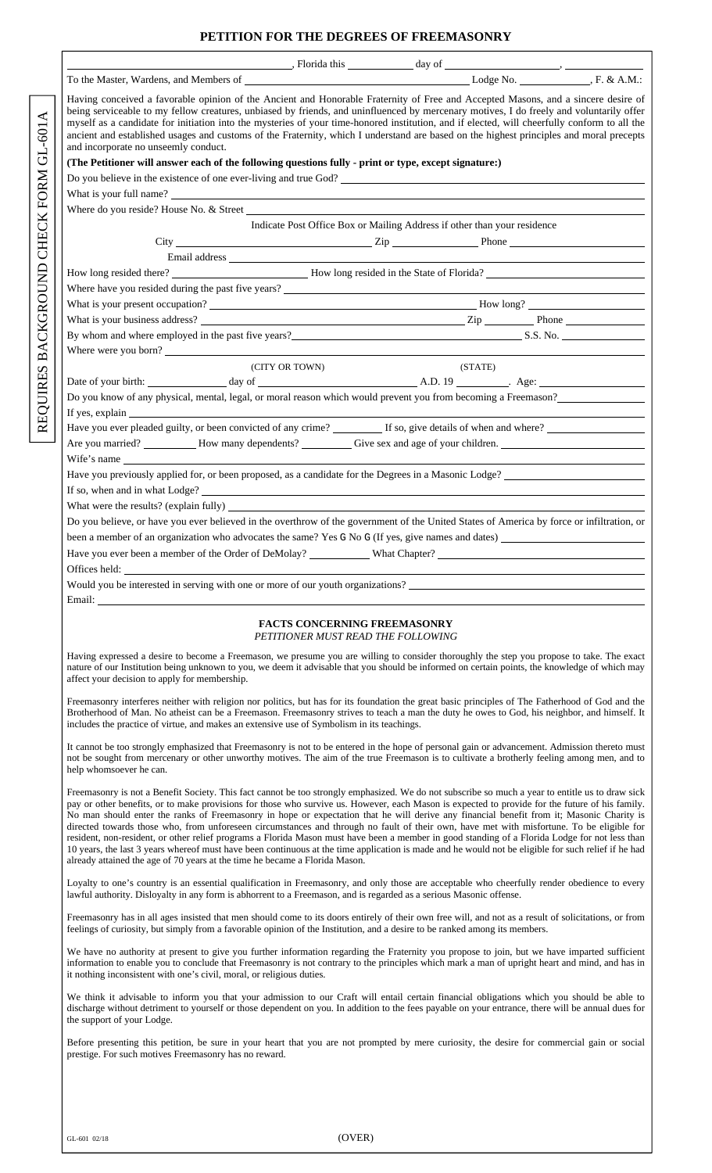## **PETITION FOR THE DEGREES OF FREEMASONRY**

| $\blacksquare$ , Florida this $\blacksquare$ day of $\blacksquare$                                                                                                                                                                                                                                                                                                                                                                                                                                                                                                                                              |                                                                           |  |                                                                          |  |
|-----------------------------------------------------------------------------------------------------------------------------------------------------------------------------------------------------------------------------------------------------------------------------------------------------------------------------------------------------------------------------------------------------------------------------------------------------------------------------------------------------------------------------------------------------------------------------------------------------------------|---------------------------------------------------------------------------|--|--------------------------------------------------------------------------|--|
|                                                                                                                                                                                                                                                                                                                                                                                                                                                                                                                                                                                                                 |                                                                           |  |                                                                          |  |
| Having conceived a favorable opinion of the Ancient and Honorable Fraternity of Free and Accepted Masons, and a sincere desire of<br>being serviceable to my fellow creatures, unbiased by friends, and uninfluenced by mercenary motives, I do freely and voluntarily offer<br>myself as a candidate for initiation into the mysteries of your time-honored institution, and if elected, will cheerfully conform to all the<br>ancient and established usages and customs of the Fraternity, which I understand are based on the highest principles and moral precepts<br>and incorporate no unseemly conduct. |                                                                           |  |                                                                          |  |
| (The Petitioner will answer each of the following questions fully - print or type, except signature:)                                                                                                                                                                                                                                                                                                                                                                                                                                                                                                           |                                                                           |  |                                                                          |  |
| Do you believe in the existence of one ever-living and true God?                                                                                                                                                                                                                                                                                                                                                                                                                                                                                                                                                |                                                                           |  |                                                                          |  |
|                                                                                                                                                                                                                                                                                                                                                                                                                                                                                                                                                                                                                 |                                                                           |  |                                                                          |  |
|                                                                                                                                                                                                                                                                                                                                                                                                                                                                                                                                                                                                                 |                                                                           |  |                                                                          |  |
|                                                                                                                                                                                                                                                                                                                                                                                                                                                                                                                                                                                                                 |                                                                           |  | Indicate Post Office Box or Mailing Address if other than your residence |  |
|                                                                                                                                                                                                                                                                                                                                                                                                                                                                                                                                                                                                                 |                                                                           |  |                                                                          |  |
|                                                                                                                                                                                                                                                                                                                                                                                                                                                                                                                                                                                                                 |                                                                           |  |                                                                          |  |
| How long resided there? <b>EXECUTE:</b> How long resided in the State of Florida?                                                                                                                                                                                                                                                                                                                                                                                                                                                                                                                               |                                                                           |  |                                                                          |  |
| Where have you resided during the past five years?                                                                                                                                                                                                                                                                                                                                                                                                                                                                                                                                                              |                                                                           |  |                                                                          |  |
|                                                                                                                                                                                                                                                                                                                                                                                                                                                                                                                                                                                                                 |                                                                           |  |                                                                          |  |
| What is your business address?                                                                                                                                                                                                                                                                                                                                                                                                                                                                                                                                                                                  |                                                                           |  |                                                                          |  |
| By whom and where employed in the past five years?<br>S.S. No.                                                                                                                                                                                                                                                                                                                                                                                                                                                                                                                                                  |                                                                           |  |                                                                          |  |
| Where were you born?                                                                                                                                                                                                                                                                                                                                                                                                                                                                                                                                                                                            |                                                                           |  |                                                                          |  |
| (CITY OR TOWN)                                                                                                                                                                                                                                                                                                                                                                                                                                                                                                                                                                                                  |                                                                           |  | (STATE)                                                                  |  |
|                                                                                                                                                                                                                                                                                                                                                                                                                                                                                                                                                                                                                 |                                                                           |  |                                                                          |  |
| Do you know of any physical, mental, legal, or moral reason which would prevent you from becoming a Freemason?                                                                                                                                                                                                                                                                                                                                                                                                                                                                                                  |                                                                           |  |                                                                          |  |
|                                                                                                                                                                                                                                                                                                                                                                                                                                                                                                                                                                                                                 |                                                                           |  |                                                                          |  |
| Have you ever pleaded guilty, or been convicted of any crime? If so, give details of when and where?                                                                                                                                                                                                                                                                                                                                                                                                                                                                                                            |                                                                           |  |                                                                          |  |
|                                                                                                                                                                                                                                                                                                                                                                                                                                                                                                                                                                                                                 |                                                                           |  |                                                                          |  |
| Wife's name                                                                                                                                                                                                                                                                                                                                                                                                                                                                                                                                                                                                     |                                                                           |  |                                                                          |  |
| Have you previously applied for, or been proposed, as a candidate for the Degrees in a Masonic Lodge?                                                                                                                                                                                                                                                                                                                                                                                                                                                                                                           |                                                                           |  |                                                                          |  |
|                                                                                                                                                                                                                                                                                                                                                                                                                                                                                                                                                                                                                 |                                                                           |  |                                                                          |  |
|                                                                                                                                                                                                                                                                                                                                                                                                                                                                                                                                                                                                                 |                                                                           |  |                                                                          |  |
| Do you believe, or have you ever believed in the overthrow of the government of the United States of America by force or infiltration, or                                                                                                                                                                                                                                                                                                                                                                                                                                                                       |                                                                           |  |                                                                          |  |
| been a member of an organization who advocates the same? Yes G No G (If yes, give names and dates)                                                                                                                                                                                                                                                                                                                                                                                                                                                                                                              |                                                                           |  |                                                                          |  |
|                                                                                                                                                                                                                                                                                                                                                                                                                                                                                                                                                                                                                 |                                                                           |  |                                                                          |  |
|                                                                                                                                                                                                                                                                                                                                                                                                                                                                                                                                                                                                                 |                                                                           |  |                                                                          |  |
| Would you be interested in serving with one or more of our youth organizations?                                                                                                                                                                                                                                                                                                                                                                                                                                                                                                                                 |                                                                           |  |                                                                          |  |
| Email: The contract of the contract of the contract of the contract of the contract of the contract of the contract of the contract of the contract of the contract of the contract of the contract of the contract of the con                                                                                                                                                                                                                                                                                                                                                                                  |                                                                           |  |                                                                          |  |
|                                                                                                                                                                                                                                                                                                                                                                                                                                                                                                                                                                                                                 | <b>FACTS CONCERNING FREEMASONRY</b><br>PETITIONER MUST READ THE FOLLOWING |  |                                                                          |  |

Having expressed a desire to become a Freemason, we presume you are willing to consider thoroughly the step you propose to take. The exact nature of our Institution being unknown to you, we deem it advisable that you should be informed on certain points, the knowledge of which may affect your decision to apply for membership.

Freemasonry interferes neither with religion nor politics, but has for its foundation the great basic principles of The Fatherhood of God and the Brotherhood of Man. No atheist can be a Freemason. Freemasonry strives to teach a man the duty he owes to God, his neighbor, and himself. It includes the practice of virtue, and makes an extensive use of Symbolism in its teachings.

It cannot be too strongly emphasized that Freemasonry is not to be entered in the hope of personal gain or advancement. Admission thereto must not be sought from mercenary or other unworthy motives. The aim of the true Freemason is to cultivate a brotherly feeling among men, and to help whomsoever he can.

Freemasonry is not a Benefit Society. This fact cannot be too strongly emphasized. We do not subscribe so much a year to entitle us to draw sick pay or other benefits, or to make provisions for those who survive us. However, each Mason is expected to provide for the future of his family. No man should enter the ranks of Freemasonry in hope or expectation that he will derive any financial benefit from it; Masonic Charity is directed towards those who, from unforeseen circumstances and through no fault of their own, have met with misfortune. To be eligible for resident, non-resident, or other relief programs a Florida Mason must have been a member in good standing of a Florida Lodge for not less than 10 years, the last 3 years whereof must have been continuous at the time application is made and he would not be eligible for such relief if he had already attained the age of 70 years at the time he became a Florida Mason.

Loyalty to one's country is an essential qualification in Freemasonry, and only those are acceptable who cheerfully render obedience to every lawful authority. Disloyalty in any form is abhorrent to a Freemason, and is regarded as a serious Masonic offense.

Freemasonry has in all ages insisted that men should come to its doors entirely of their own free will, and not as a result of solicitations, or from feelings of curiosity, but simply from a favorable opinion of the Institution, and a desire to be ranked among its members.

We have no authority at present to give you further information regarding the Fraternity you propose to join, but we have imparted sufficient information to enable you to conclude that Freemasonry is not contrary to the principles which mark a man of upright heart and mind, and has in it nothing inconsistent with one's civil, moral, or religious duties.

We think it advisable to inform you that your admission to our Craft will entail certain financial obligations which you should be able to discharge without detriment to yourself or those dependent on you. In addition to the fees payable on your entrance, there will be annual dues for the support of your Lodge.

Before presenting this petition, be sure in your heart that you are not prompted by mere curiosity, the desire for commercial gain or social prestige. For such motives Freemasonry has no reward.